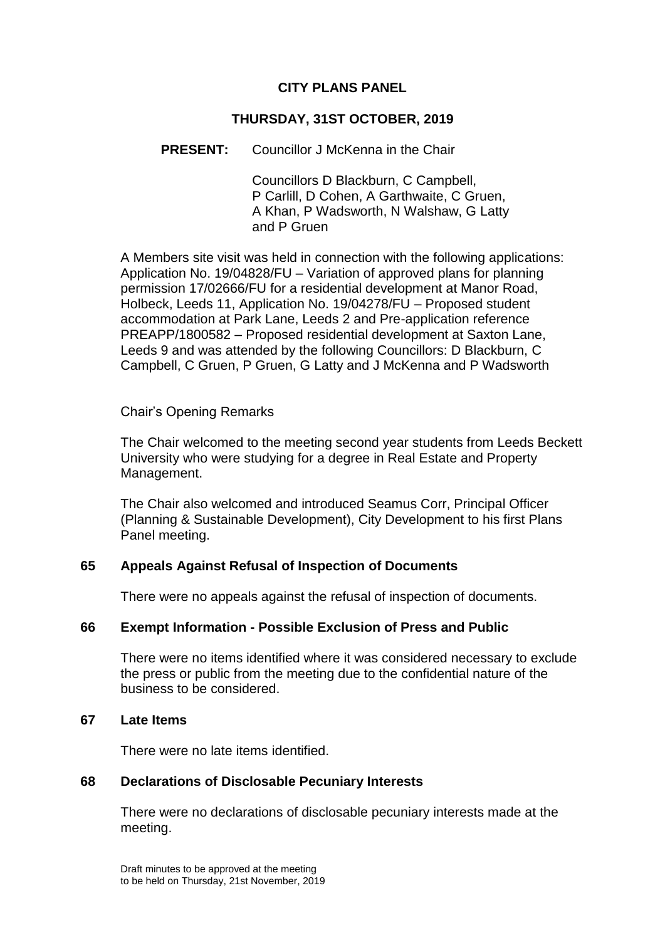## **CITY PLANS PANEL**

## **THURSDAY, 31ST OCTOBER, 2019**

## **PRESENT:** Councillor J McKenna in the Chair

Councillors D Blackburn, C Campbell, P Carlill, D Cohen, A Garthwaite, C Gruen, A Khan, P Wadsworth, N Walshaw, G Latty and P Gruen

A Members site visit was held in connection with the following applications: Application No. 19/04828/FU – Variation of approved plans for planning permission 17/02666/FU for a residential development at Manor Road, Holbeck, Leeds 11, Application No. 19/04278/FU – Proposed student accommodation at Park Lane, Leeds 2 and Pre-application reference PREAPP/1800582 – Proposed residential development at Saxton Lane, Leeds 9 and was attended by the following Councillors: D Blackburn, C Campbell, C Gruen, P Gruen, G Latty and J McKenna and P Wadsworth

#### Chair's Opening Remarks

The Chair welcomed to the meeting second year students from Leeds Beckett University who were studying for a degree in Real Estate and Property Management.

The Chair also welcomed and introduced Seamus Corr, Principal Officer (Planning & Sustainable Development), City Development to his first Plans Panel meeting.

## **65 Appeals Against Refusal of Inspection of Documents**

There were no appeals against the refusal of inspection of documents.

## **66 Exempt Information - Possible Exclusion of Press and Public**

There were no items identified where it was considered necessary to exclude the press or public from the meeting due to the confidential nature of the business to be considered.

#### **67 Late Items**

There were no late items identified.

#### **68 Declarations of Disclosable Pecuniary Interests**

There were no declarations of disclosable pecuniary interests made at the meeting.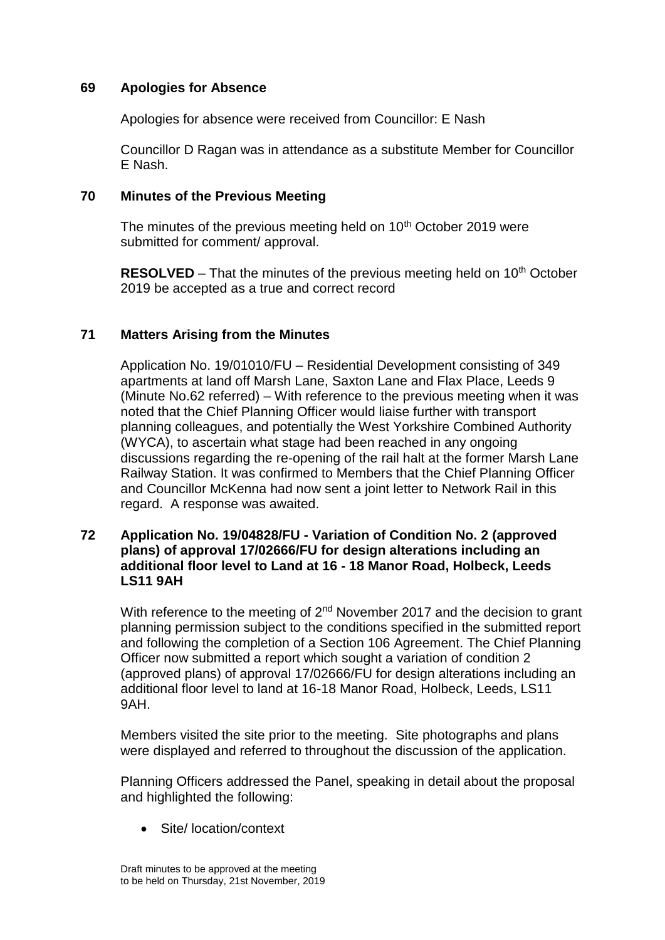## **69 Apologies for Absence**

Apologies for absence were received from Councillor: E Nash

Councillor D Ragan was in attendance as a substitute Member for Councillor E Nash.

## **70 Minutes of the Previous Meeting**

The minutes of the previous meeting held on 10<sup>th</sup> October 2019 were submitted for comment/ approval.

**RESOLVED** – That the minutes of the previous meeting held on 10<sup>th</sup> October 2019 be accepted as a true and correct record

## **71 Matters Arising from the Minutes**

Application No. 19/01010/FU – Residential Development consisting of 349 apartments at land off Marsh Lane, Saxton Lane and Flax Place, Leeds 9 (Minute No.62 referred) – With reference to the previous meeting when it was noted that the Chief Planning Officer would liaise further with transport planning colleagues, and potentially the West Yorkshire Combined Authority (WYCA), to ascertain what stage had been reached in any ongoing discussions regarding the re-opening of the rail halt at the former Marsh Lane Railway Station. It was confirmed to Members that the Chief Planning Officer and Councillor McKenna had now sent a joint letter to Network Rail in this regard. A response was awaited.

#### **72 Application No. 19/04828/FU - Variation of Condition No. 2 (approved plans) of approval 17/02666/FU for design alterations including an additional floor level to Land at 16 - 18 Manor Road, Holbeck, Leeds LS11 9AH**

With reference to the meeting of 2<sup>nd</sup> November 2017 and the decision to grant planning permission subject to the conditions specified in the submitted report and following the completion of a Section 106 Agreement. The Chief Planning Officer now submitted a report which sought a variation of condition 2 (approved plans) of approval 17/02666/FU for design alterations including an additional floor level to land at 16-18 Manor Road, Holbeck, Leeds, LS11 9AH.

Members visited the site prior to the meeting. Site photographs and plans were displayed and referred to throughout the discussion of the application.

Planning Officers addressed the Panel, speaking in detail about the proposal and highlighted the following:

Site/ location/context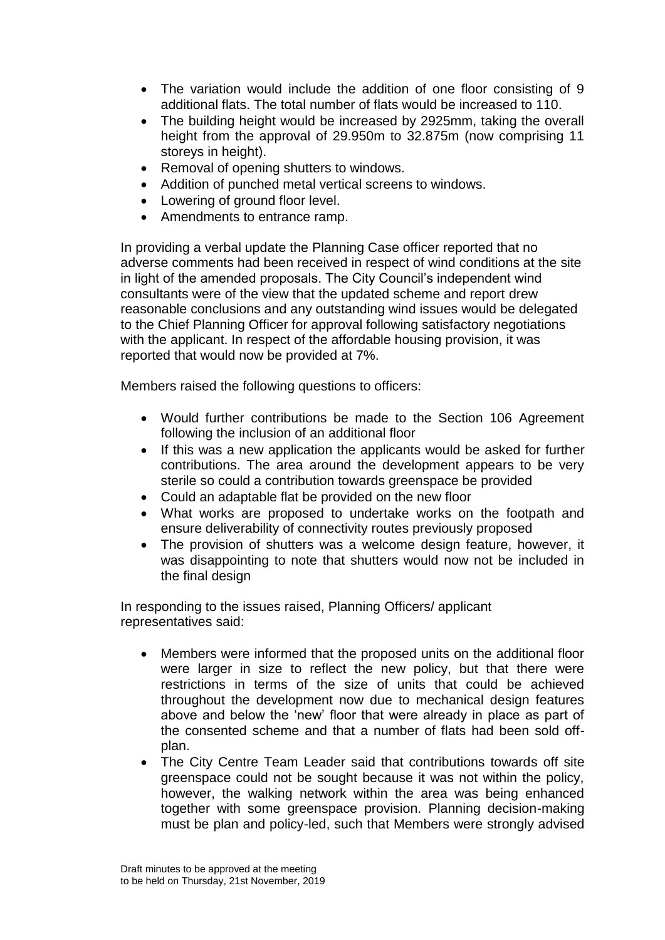- The variation would include the addition of one floor consisting of 9 additional flats. The total number of flats would be increased to 110.
- The building height would be increased by 2925mm, taking the overall height from the approval of 29.950m to 32.875m (now comprising 11 storeys in height).
- Removal of opening shutters to windows.
- Addition of punched metal vertical screens to windows.
- Lowering of ground floor level.
- Amendments to entrance ramp.

In providing a verbal update the Planning Case officer reported that no adverse comments had been received in respect of wind conditions at the site in light of the amended proposals. The City Council's independent wind consultants were of the view that the updated scheme and report drew reasonable conclusions and any outstanding wind issues would be delegated to the Chief Planning Officer for approval following satisfactory negotiations with the applicant. In respect of the affordable housing provision, it was reported that would now be provided at 7%.

Members raised the following questions to officers:

- Would further contributions be made to the Section 106 Agreement following the inclusion of an additional floor
- If this was a new application the applicants would be asked for further contributions. The area around the development appears to be very sterile so could a contribution towards greenspace be provided
- Could an adaptable flat be provided on the new floor
- What works are proposed to undertake works on the footpath and ensure deliverability of connectivity routes previously proposed
- The provision of shutters was a welcome design feature, however, it was disappointing to note that shutters would now not be included in the final design

In responding to the issues raised, Planning Officers/ applicant representatives said:

- Members were informed that the proposed units on the additional floor were larger in size to reflect the new policy, but that there were restrictions in terms of the size of units that could be achieved throughout the development now due to mechanical design features above and below the 'new' floor that were already in place as part of the consented scheme and that a number of flats had been sold offplan.
- The City Centre Team Leader said that contributions towards off site greenspace could not be sought because it was not within the policy, however, the walking network within the area was being enhanced together with some greenspace provision. Planning decision-making must be plan and policy-led, such that Members were strongly advised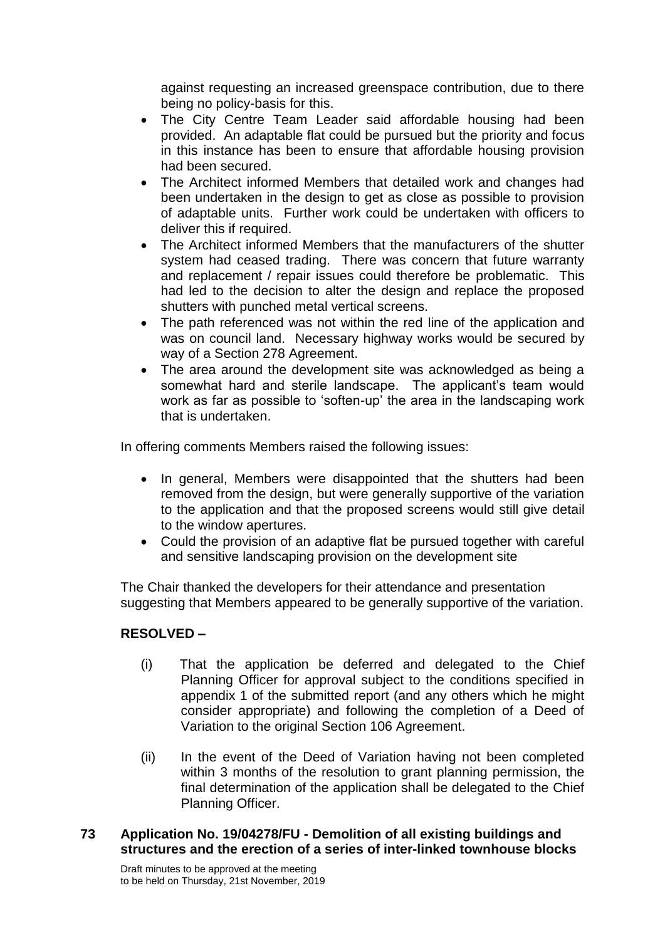against requesting an increased greenspace contribution, due to there being no policy-basis for this.

- The City Centre Team Leader said affordable housing had been provided. An adaptable flat could be pursued but the priority and focus in this instance has been to ensure that affordable housing provision had been secured.
- The Architect informed Members that detailed work and changes had been undertaken in the design to get as close as possible to provision of adaptable units. Further work could be undertaken with officers to deliver this if required.
- The Architect informed Members that the manufacturers of the shutter system had ceased trading. There was concern that future warranty and replacement / repair issues could therefore be problematic. This had led to the decision to alter the design and replace the proposed shutters with punched metal vertical screens.
- The path referenced was not within the red line of the application and was on council land. Necessary highway works would be secured by way of a Section 278 Agreement.
- The area around the development site was acknowledged as being a somewhat hard and sterile landscape. The applicant's team would work as far as possible to 'soften-up' the area in the landscaping work that is undertaken.

In offering comments Members raised the following issues:

- In general, Members were disappointed that the shutters had been removed from the design, but were generally supportive of the variation to the application and that the proposed screens would still give detail to the window apertures.
- Could the provision of an adaptive flat be pursued together with careful and sensitive landscaping provision on the development site

The Chair thanked the developers for their attendance and presentation suggesting that Members appeared to be generally supportive of the variation.

# **RESOLVED –**

- (i) That the application be deferred and delegated to the Chief Planning Officer for approval subject to the conditions specified in appendix 1 of the submitted report (and any others which he might consider appropriate) and following the completion of a Deed of Variation to the original Section 106 Agreement.
- (ii) In the event of the Deed of Variation having not been completed within 3 months of the resolution to grant planning permission, the final determination of the application shall be delegated to the Chief Planning Officer.

## **73 Application No. 19/04278/FU - Demolition of all existing buildings and structures and the erection of a series of inter-linked townhouse blocks**

Draft minutes to be approved at the meeting to be held on Thursday, 21st November, 2019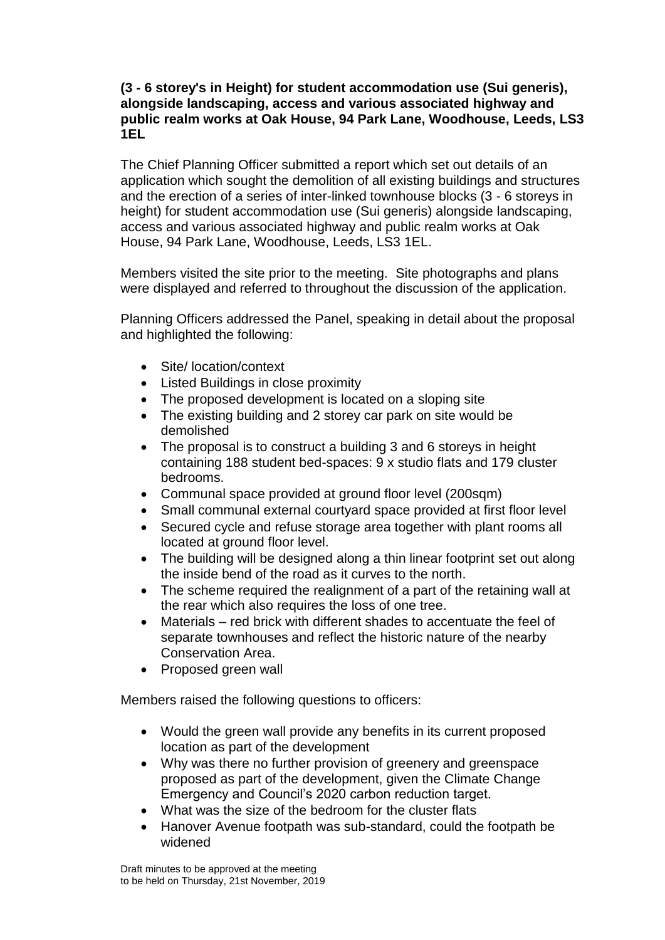### **(3 - 6 storey's in Height) for student accommodation use (Sui generis), alongside landscaping, access and various associated highway and public realm works at Oak House, 94 Park Lane, Woodhouse, Leeds, LS3 1EL**

The Chief Planning Officer submitted a report which set out details of an application which sought the demolition of all existing buildings and structures and the erection of a series of inter-linked townhouse blocks (3 - 6 storeys in height) for student accommodation use (Sui generis) alongside landscaping, access and various associated highway and public realm works at Oak House, 94 Park Lane, Woodhouse, Leeds, LS3 1EL.

Members visited the site prior to the meeting. Site photographs and plans were displayed and referred to throughout the discussion of the application.

Planning Officers addressed the Panel, speaking in detail about the proposal and highlighted the following:

- Site/ location/context
- Listed Buildings in close proximity
- The proposed development is located on a sloping site
- The existing building and 2 storey car park on site would be demolished
- The proposal is to construct a building 3 and 6 storeys in height containing 188 student bed-spaces: 9 x studio flats and 179 cluster bedrooms.
- Communal space provided at ground floor level (200sqm)
- Small communal external courtyard space provided at first floor level
- Secured cycle and refuse storage area together with plant rooms all located at ground floor level.
- The building will be designed along a thin linear footprint set out along the inside bend of the road as it curves to the north.
- The scheme required the realignment of a part of the retaining wall at the rear which also requires the loss of one tree.
- Materials red brick with different shades to accentuate the feel of separate townhouses and reflect the historic nature of the nearby Conservation Area.
- Proposed green wall

Members raised the following questions to officers:

- Would the green wall provide any benefits in its current proposed location as part of the development
- Why was there no further provision of greenery and greenspace proposed as part of the development, given the Climate Change Emergency and Council's 2020 carbon reduction target.
- What was the size of the bedroom for the cluster flats
- Hanover Avenue footpath was sub-standard, could the footpath be widened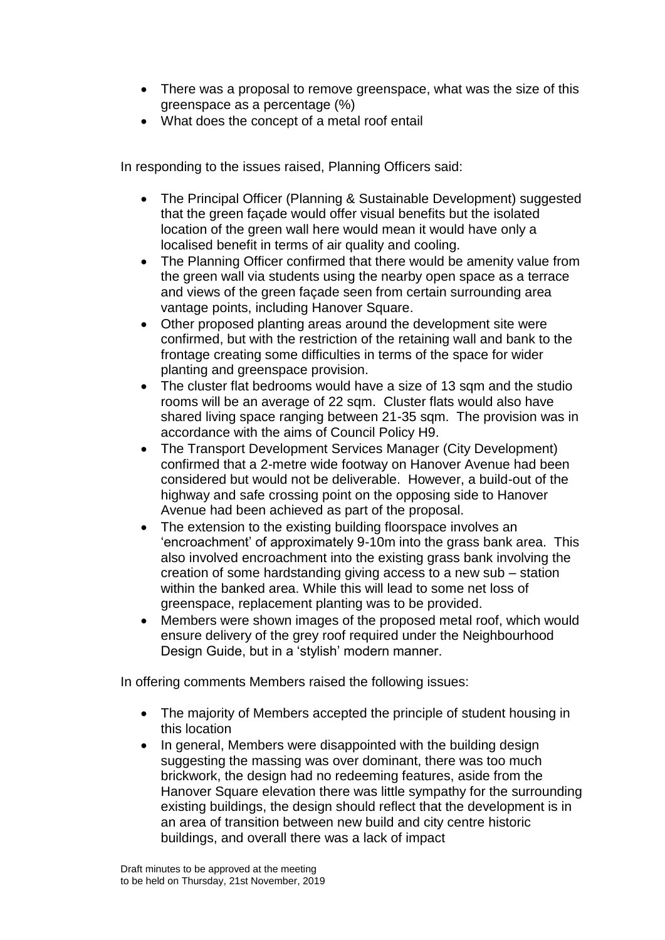- There was a proposal to remove greenspace, what was the size of this greenspace as a percentage (%)
- What does the concept of a metal roof entail

In responding to the issues raised, Planning Officers said:

- The Principal Officer (Planning & Sustainable Development) suggested that the green façade would offer visual benefits but the isolated location of the green wall here would mean it would have only a localised benefit in terms of air quality and cooling.
- The Planning Officer confirmed that there would be amenity value from the green wall via students using the nearby open space as a terrace and views of the green façade seen from certain surrounding area vantage points, including Hanover Square.
- Other proposed planting areas around the development site were confirmed, but with the restriction of the retaining wall and bank to the frontage creating some difficulties in terms of the space for wider planting and greenspace provision.
- The cluster flat bedrooms would have a size of 13 sqm and the studio rooms will be an average of 22 sqm. Cluster flats would also have shared living space ranging between 21-35 sqm. The provision was in accordance with the aims of Council Policy H9.
- The Transport Development Services Manager (City Development) confirmed that a 2-metre wide footway on Hanover Avenue had been considered but would not be deliverable. However, a build-out of the highway and safe crossing point on the opposing side to Hanover Avenue had been achieved as part of the proposal.
- The extension to the existing building floorspace involves an 'encroachment' of approximately 9-10m into the grass bank area. This also involved encroachment into the existing grass bank involving the creation of some hardstanding giving access to a new sub – station within the banked area. While this will lead to some net loss of greenspace, replacement planting was to be provided.
- Members were shown images of the proposed metal roof, which would ensure delivery of the grey roof required under the Neighbourhood Design Guide, but in a 'stylish' modern manner.

In offering comments Members raised the following issues:

- The majority of Members accepted the principle of student housing in this location
- In general, Members were disappointed with the building design suggesting the massing was over dominant, there was too much brickwork, the design had no redeeming features, aside from the Hanover Square elevation there was little sympathy for the surrounding existing buildings, the design should reflect that the development is in an area of transition between new build and city centre historic buildings, and overall there was a lack of impact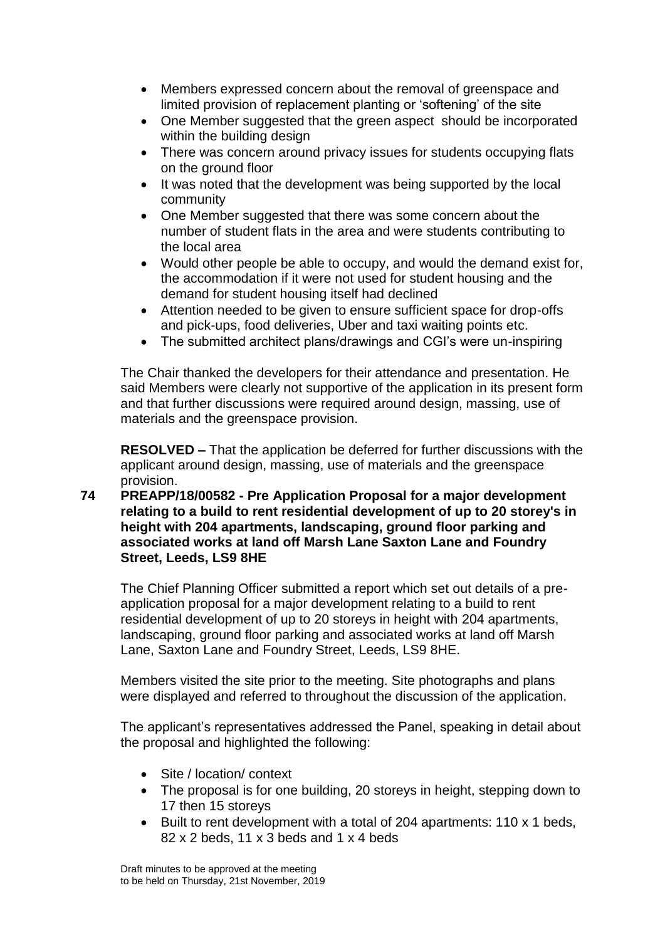- Members expressed concern about the removal of greenspace and limited provision of replacement planting or 'softening' of the site
- One Member suggested that the green aspect should be incorporated within the building design
- There was concern around privacy issues for students occupying flats on the ground floor
- It was noted that the development was being supported by the local community
- One Member suggested that there was some concern about the number of student flats in the area and were students contributing to the local area
- Would other people be able to occupy, and would the demand exist for, the accommodation if it were not used for student housing and the demand for student housing itself had declined
- Attention needed to be given to ensure sufficient space for drop-offs and pick-ups, food deliveries, Uber and taxi waiting points etc.
- The submitted architect plans/drawings and CGI's were un-inspiring

The Chair thanked the developers for their attendance and presentation. He said Members were clearly not supportive of the application in its present form and that further discussions were required around design, massing, use of materials and the greenspace provision.

**RESOLVED –** That the application be deferred for further discussions with the applicant around design, massing, use of materials and the greenspace provision.

**74 PREAPP/18/00582 - Pre Application Proposal for a major development relating to a build to rent residential development of up to 20 storey's in height with 204 apartments, landscaping, ground floor parking and associated works at land off Marsh Lane Saxton Lane and Foundry Street, Leeds, LS9 8HE**

The Chief Planning Officer submitted a report which set out details of a preapplication proposal for a major development relating to a build to rent residential development of up to 20 storeys in height with 204 apartments, landscaping, ground floor parking and associated works at land off Marsh Lane, Saxton Lane and Foundry Street, Leeds, LS9 8HE.

Members visited the site prior to the meeting. Site photographs and plans were displayed and referred to throughout the discussion of the application.

The applicant's representatives addressed the Panel, speaking in detail about the proposal and highlighted the following:

- Site / location/ context
- The proposal is for one building, 20 storeys in height, stepping down to 17 then 15 storeys
- Built to rent development with a total of 204 apartments: 110 x 1 beds, 82 x 2 beds, 11 x 3 beds and 1 x 4 beds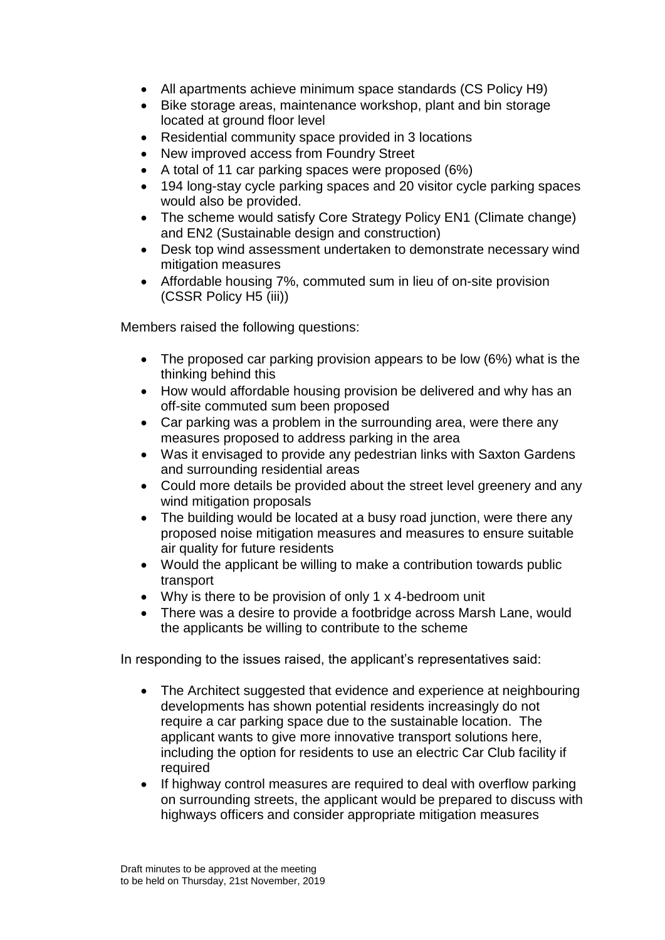- All apartments achieve minimum space standards (CS Policy H9)
- Bike storage areas, maintenance workshop, plant and bin storage located at ground floor level
- Residential community space provided in 3 locations
- New improved access from Foundry Street
- A total of 11 car parking spaces were proposed (6%)
- 194 long-stay cycle parking spaces and 20 visitor cycle parking spaces would also be provided.
- The scheme would satisfy Core Strategy Policy EN1 (Climate change) and EN2 (Sustainable design and construction)
- Desk top wind assessment undertaken to demonstrate necessary wind mitigation measures
- Affordable housing 7%, commuted sum in lieu of on-site provision (CSSR Policy H5 (iii))

Members raised the following questions:

- The proposed car parking provision appears to be low (6%) what is the thinking behind this
- How would affordable housing provision be delivered and why has an off-site commuted sum been proposed
- Car parking was a problem in the surrounding area, were there any measures proposed to address parking in the area
- Was it envisaged to provide any pedestrian links with Saxton Gardens and surrounding residential areas
- Could more details be provided about the street level greenery and any wind mitigation proposals
- The building would be located at a busy road junction, were there any proposed noise mitigation measures and measures to ensure suitable air quality for future residents
- Would the applicant be willing to make a contribution towards public transport
- Why is there to be provision of only 1 x 4-bedroom unit
- There was a desire to provide a footbridge across Marsh Lane, would the applicants be willing to contribute to the scheme

In responding to the issues raised, the applicant's representatives said:

- The Architect suggested that evidence and experience at neighbouring developments has shown potential residents increasingly do not require a car parking space due to the sustainable location. The applicant wants to give more innovative transport solutions here, including the option for residents to use an electric Car Club facility if required
- If highway control measures are required to deal with overflow parking on surrounding streets, the applicant would be prepared to discuss with highways officers and consider appropriate mitigation measures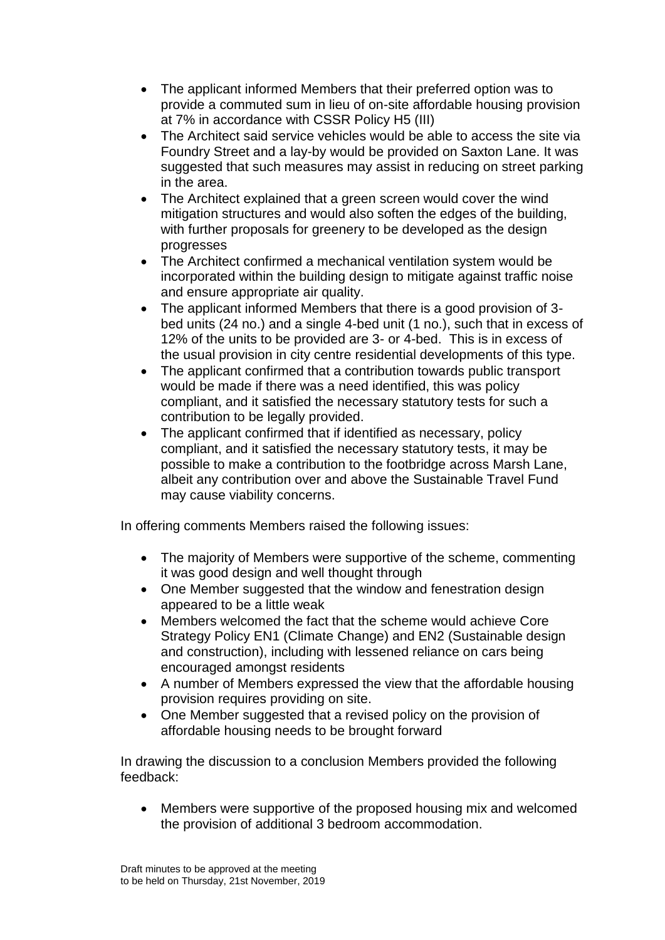- The applicant informed Members that their preferred option was to provide a commuted sum in lieu of on-site affordable housing provision at 7% in accordance with CSSR Policy H5 (III)
- The Architect said service vehicles would be able to access the site via Foundry Street and a lay-by would be provided on Saxton Lane. It was suggested that such measures may assist in reducing on street parking in the area.
- The Architect explained that a green screen would cover the wind mitigation structures and would also soften the edges of the building, with further proposals for greenery to be developed as the design progresses
- The Architect confirmed a mechanical ventilation system would be incorporated within the building design to mitigate against traffic noise and ensure appropriate air quality.
- The applicant informed Members that there is a good provision of 3 bed units (24 no.) and a single 4-bed unit (1 no.), such that in excess of 12% of the units to be provided are 3- or 4-bed. This is in excess of the usual provision in city centre residential developments of this type.
- The applicant confirmed that a contribution towards public transport would be made if there was a need identified, this was policy compliant, and it satisfied the necessary statutory tests for such a contribution to be legally provided.
- The applicant confirmed that if identified as necessary, policy compliant, and it satisfied the necessary statutory tests, it may be possible to make a contribution to the footbridge across Marsh Lane, albeit any contribution over and above the Sustainable Travel Fund may cause viability concerns.

In offering comments Members raised the following issues:

- The majority of Members were supportive of the scheme, commenting it was good design and well thought through
- One Member suggested that the window and fenestration design appeared to be a little weak
- Members welcomed the fact that the scheme would achieve Core Strategy Policy EN1 (Climate Change) and EN2 (Sustainable design and construction), including with lessened reliance on cars being encouraged amongst residents
- A number of Members expressed the view that the affordable housing provision requires providing on site.
- One Member suggested that a revised policy on the provision of affordable housing needs to be brought forward

In drawing the discussion to a conclusion Members provided the following feedback:

 Members were supportive of the proposed housing mix and welcomed the provision of additional 3 bedroom accommodation.